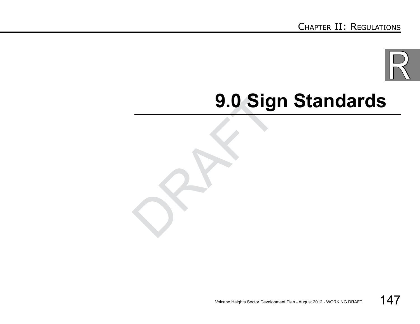

# g.o Sig<br>
and the set of the set of the set of the set of the set of the set of the set of the set of the set of the set of the set of the set of the set of the set of the set of the set of the set of the set of the set of **9.0 Sign Standards**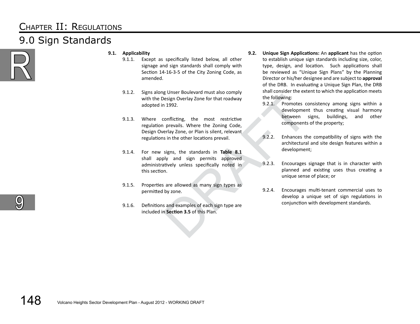### Chapter II: Regulations 9.0 Sign Standards



- **9.1. Applicability** 
	- 9.1.1. Except as specifically listed below, all other signage and sign standards shall comply with Section 14-16-3-5 of the City Zoning Code, as amended.
	- 9.1.2. Signs along Unser Boulevard must also comply with the Design Overlay Zone for that roadway adopted in 1992.
	- 9.1.3. Where conflicting, the most restrictive regulation prevails. Where the Zoning Code, Design Overlay Zone, or Plan is silent, relevant regulations in the other locations prevail.
	- besign Overlay Zone for that roadway<br>
	the following:<br>
	1992.<br>
	1992.<br>
	1992.<br>
	1992.<br>
	1992.<br>
	1992.<br>
	2.2.1. Promotes condend<br>
	1992.<br>
	1992.<br>
	1992.<br>
	1992.<br>
	1992.<br>
	1992.<br>
	1992.<br>
	1992.<br>
	1992.<br>
	1992.<br>
	1992.<br>
	1992.<br>
	1992.<br>
	1992.<br>
	199 9.1.4. For new signs, the standards in **Table 8.1** shall apply and sign permits approved administratively unless specifically noted in this section.
	- 9.1.5. Properties are allowed as many sign types as permitted by zone.
	- 9.1.6. Definitions and examples of each sign type are included in **Section 3.5** of this Plan.
- **9.2. Unique Sign Applications:** An **applicant** has the option to establish unique sign standards including size, color, type, design, and location. Such applications shall be reviewed as "Unique Sign Plans" by the Planning Director or his/her designee and are subject to **approval** of the DRB. In evaluating a Unique Sign Plan, the DRB shall consider the extent to which the application meets the following:
	- 9.2.1. Promotes consistency among signs within a development thus creating visual harmony between signs, buildings, and other components of the property;
	- 9.2.2. Enhances the compatibility of signs with the architectural and site design features within a development;
	- 9.2.3. Encourages signage that is in character with planned and existing uses thus creating a unique sense of place; or
	- 9.2.4. Encourages multi-tenant commercial uses to develop a unique set of sign regulations in conjunction with development standards.

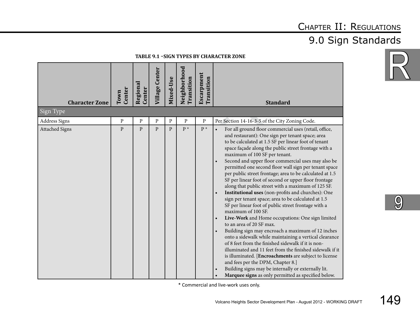### 9.0 Sign Standards

**Table 9.1 –Sign Types by Character Zone**

| <b>Character Zone</b><br>Sign Type | Center<br>Town | Regional<br>Center | <b>Village Center</b> | Mixed-Use    | Neighborhood<br>Transition | Escarpment<br>Transition | <b>Standard</b>                                                                                                                                                                                                                                                                                                                                                                                                                                                                                                                                                                                                                                                                                                                                                                                                                                                                                                                                                                                                                                                                                                                                                                                                                                                                                                   |
|------------------------------------|----------------|--------------------|-----------------------|--------------|----------------------------|--------------------------|-------------------------------------------------------------------------------------------------------------------------------------------------------------------------------------------------------------------------------------------------------------------------------------------------------------------------------------------------------------------------------------------------------------------------------------------------------------------------------------------------------------------------------------------------------------------------------------------------------------------------------------------------------------------------------------------------------------------------------------------------------------------------------------------------------------------------------------------------------------------------------------------------------------------------------------------------------------------------------------------------------------------------------------------------------------------------------------------------------------------------------------------------------------------------------------------------------------------------------------------------------------------------------------------------------------------|
| <b>Address Signs</b>               | $\mathbf{P}$   | $\, {\bf P}$       | P                     | P            | ${\bf P}$                  | ${\bf P}$                | Per Section 14-16-3-5 of the City Zoning Code.                                                                                                                                                                                                                                                                                                                                                                                                                                                                                                                                                                                                                                                                                                                                                                                                                                                                                                                                                                                                                                                                                                                                                                                                                                                                    |
| <b>Attached Signs</b>              | $\, {\bf p}$   | $\mathbf{P}$       | $\mathsf{p}$          | $\mathbf{P}$ | $P^*$                      | $P^*$                    | For all ground floor commercial uses (retail, office,<br>and restaurant): One sign per tenant space; area<br>to be calculated at 1.5 SF per linear foot of tenant<br>space façade along the public street frontage with a<br>maximum of 100 SF per tenant.<br>Second and upper floor commercial uses may also be<br>$\bullet$<br>permitted one second floor wall sign per tenant space<br>per public street frontage; area to be calculated at 1.5<br>SF per linear foot of second or upper floor frontage<br>along that public street with a maximum of 125 SF.<br>Institutional uses (non-profits and churches): One<br>$\bullet$<br>sign per tenant space; area to be calculated at 1.5<br>SF per linear foot of public street frontage with a<br>maximum of 100 SF.<br>Live-Work and Home occupations: One sign limited<br>to an area of 20 SF max.<br>Building sign may encroach a maximum of 12 inches<br>$\bullet$<br>onto a sidewalk while maintaining a vertical clearance<br>of 8 feet from the finished sidewalk if it is non-<br>illuminated and 11 feet from the finished sidewalk if it<br>is illuminated. [Encroachments are subject to license<br>and fees per the DPM, Chapter 8.]<br>Building signs may be internally or externally lit.<br>Marquee signs as only permitted as specified below. |

\* Commercial and live-work uses only.



 $\overline{\text{O}}$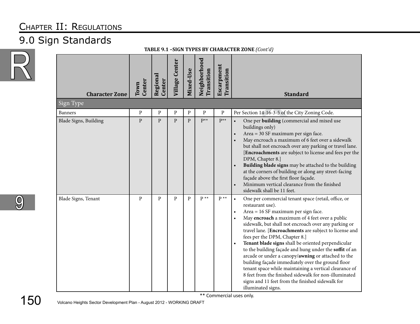### 9.0 Sign Standards



| <b>Character Zone</b> | Center<br>Town | Regional<br>Center | <b>Village Center</b> | Mixed-Use    | Neighborhood<br>Transition | Escarpment<br>Transition | <b>Standard</b>                                                                                                                                                                                                                                                                                                                                                                                                                                                                                                                                                                                                                                                                                                                                                       |
|-----------------------|----------------|--------------------|-----------------------|--------------|----------------------------|--------------------------|-----------------------------------------------------------------------------------------------------------------------------------------------------------------------------------------------------------------------------------------------------------------------------------------------------------------------------------------------------------------------------------------------------------------------------------------------------------------------------------------------------------------------------------------------------------------------------------------------------------------------------------------------------------------------------------------------------------------------------------------------------------------------|
| Sign Type             |                |                    |                       |              |                            |                          |                                                                                                                                                                                                                                                                                                                                                                                                                                                                                                                                                                                                                                                                                                                                                                       |
| <b>Banners</b>        | ${\bf P}$      | ${\bf P}$          | ${\bf P}$             | ${\bf P}$    | $\, {\bf p}$               | $\, {\bf p}$             | Per Section 14-16-3-5 of the City Zoning Code.                                                                                                                                                                                                                                                                                                                                                                                                                                                                                                                                                                                                                                                                                                                        |
| Blade Signs, Building | $\mathbf{P}$   | $\mathbf{p}$       | $\mathbf{p}$          | $\mathbf{p}$ | $P^{**}$                   | $P^{**}$                 | One per building (commercial and mixed use<br>buildings only)<br>Area = 30 SF maximum per sign face.<br>May encroach a maximum of 6 feet over a sidewalk<br>but shall not encroach over any parking or travel lane.<br>[Encroachments are subject to license and fees per the<br>DPM, Chapter 8.]<br>Building blade signs may be attached to the building<br>at the corners of building or along any street-facing<br>façade above the first floor façade.<br>Minimum vertical clearance from the finished<br>sidewalk shall be 11 feet.                                                                                                                                                                                                                              |
| Blade Signs, Tenant   | $\, {\bf P}$   | $\mathbf{P}$       | P                     | $\mathbf{P}$ | $P^{\ast\ast}$             | $P^*$                    | One per commercial tenant space (retail, office, or<br>$\bullet$<br>restaurant use).<br>Area = 16 SF maximum per sign face.<br>May encroach a maximum of 4 feet over a public<br>sidewalk, but shall not encroach over any parking or<br>travel lane. [Encroachments are subject to license and<br>fees per the DPM, Chapter 8.]<br>Tenant blade signs shall be oriented perpendicular<br>$\bullet$<br>to the building façade and hung under the soffit of an<br>arcade or under a canopy/awning or attached to the<br>building façade immediately over the ground floor<br>tenant space while maintaining a vertical clearance of<br>8 feet from the finished sidewalk for non-illuminated<br>signs and 11 feet from the finished sidewalk for<br>illuminated signs. |

**Table 9.1 –Sign Types by Character Zone** *(Cont'd)*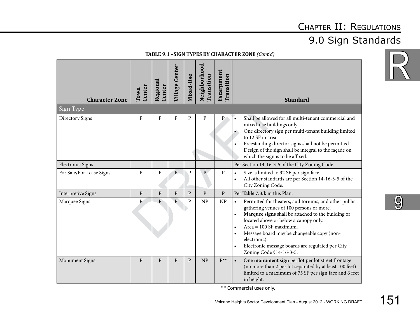### 9.0 Sign Standards

| <b>Character Zone</b>     | Center<br>Town | Regional<br><b>Center</b> | <b>Village Center</b> | Mixed-Use    | Neighborhood<br>Transition | Escarpment<br>Transition | <b>Standard</b>                                                                                                                                                                                                                                                                                                                                                                                                                            |
|---------------------------|----------------|---------------------------|-----------------------|--------------|----------------------------|--------------------------|--------------------------------------------------------------------------------------------------------------------------------------------------------------------------------------------------------------------------------------------------------------------------------------------------------------------------------------------------------------------------------------------------------------------------------------------|
| Sign Type                 |                |                           |                       |              |                            |                          |                                                                                                                                                                                                                                                                                                                                                                                                                                            |
| Directory Signs           | $\, {\bf P}$   | P                         | P                     | ${\bf P}$    | P                          | $\mathbf{P}$             | Shall be allowed for all multi-tenant commercial and<br>$\bullet$<br>mixed-use buildings only.<br>One directory sign per multi-tenant building limited<br>to 12 SF in area.<br>Freestanding director signs shall not be permitted.<br>Design of the sign shall be integral to the façade on<br>which the sign is to be affixed.                                                                                                            |
| <b>Electronic Signs</b>   |                |                           |                       |              |                            |                          | Per Section 14-16-3-5 of the City Zoning Code.                                                                                                                                                                                                                                                                                                                                                                                             |
| For Sale/For Lease Signs  | $\mathbf{P}$   | P                         | $\overline{P}$        | $\mathbf{P}$ | $\mathbf{P}$               | $\mathbf{P}$             | Size is limited to 32 SF per sign face.<br>$\bullet$<br>All other standards are per Section 14-16-3-5 of the<br>$\bullet$<br>City Zoning Code.                                                                                                                                                                                                                                                                                             |
| <b>Interpretive Signs</b> | $\mathbf{P}$   | $\mathbf{P}$              | $\mathbf{P}$          | $\mathbf{P}$ | $\overline{P}$             | $\, {\bf p}$             | Per Table 7.3.k in this Plan.                                                                                                                                                                                                                                                                                                                                                                                                              |
| Marquee Signs             | $\, {\bf p}$   | $\mathbf{P}$              | $\overline{P}$        | $\mathbf{P}$ | NP                         | NP                       | Permitted for theaters, auditoriums, and other public<br>$\bullet$<br>gathering venues of 100 persons or more.<br>Marquee signs shall be attached to the building or<br>$\bullet$<br>located above or below a canopy only.<br>$Area = 100$ SF maximum.<br>$\bullet$<br>Message board may be changeable copy (non-<br>$\bullet$<br>electronic).<br>Electronic message boards are regulated per City<br>$\bullet$<br>Zoning Code §14-16-3-5. |
| Monument Signs            | $\mathbf{P}$   | $\mathbf{P}$              | $\mathbf{P}$          | $\mathbf{P}$ | NP                         | $P^{**}$                 | One monument sign per lot per lot street frontage<br>$\bullet$<br>(no more than 2 per lot separated by at least 100 feet)<br>limited to a maximum of 75 SF per sign face and 6 feet<br>in height.                                                                                                                                                                                                                                          |

**Table 9.1 –Sign Types by Character Zone** *(Cont'd)*

\*\* Commercial uses only.

9